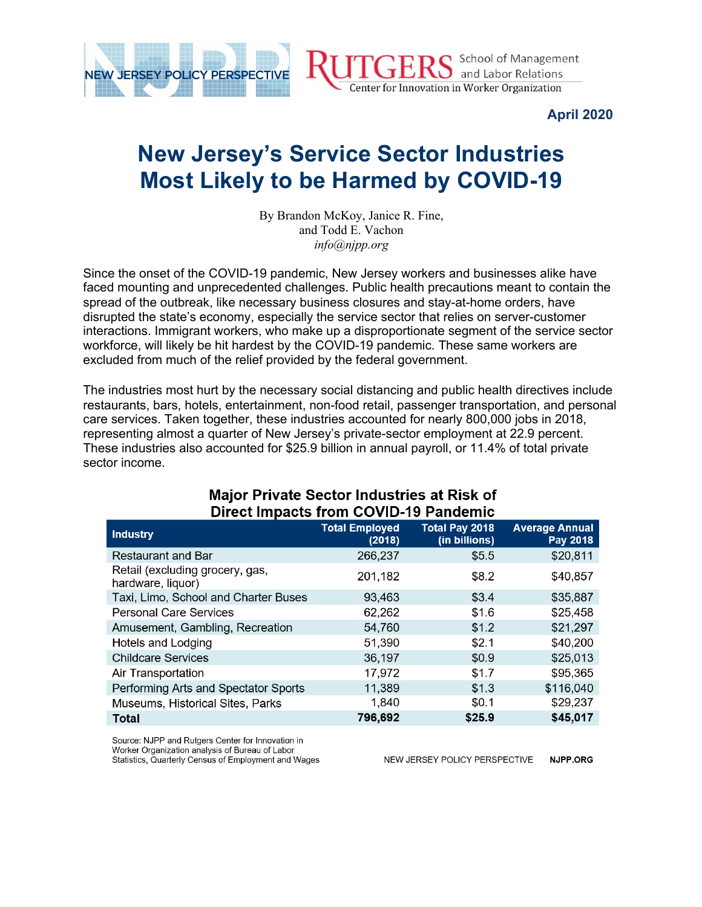

**April 2020**

## **New Jersey's Service Sector Industries Most Likely to be Harmed by COVID-19**

By Brandon McKoy, Janice R. Fine, and Todd E. Vachon *info@njpp.org*

Since the onset of the COVID-19 pandemic, New Jersey workers and businesses alike have faced mounting and unprecedented challenges. Public health precautions meant to contain the spread of the outbreak, like necessary business closures and stay-at-home orders, have disrupted the state's economy, especially the service sector that relies on server-customer interactions. Immigrant workers, who make up a disproportionate segment of the service sector workforce, will likely be hit hardest by the COVID-19 pandemic. These same workers are excluded from much of the relief provided by the federal government.

The industries most hurt by the necessary social distancing and public health directives include restaurants, bars, hotels, entertainment, non-food retail, passenger transportation, and personal care services. Taken together, these industries accounted for nearly 800,000 jobs in 2018, representing almost a quarter of New Jersey's private-sector employment at 22.9 percent. These industries also accounted for \$25.9 billion in annual payroll, or 11.4% of total private sector income.

| Direct impacts from COVID-19 Pandemic                |                                 |                                        |                                   |  |
|------------------------------------------------------|---------------------------------|----------------------------------------|-----------------------------------|--|
| <b>Industry</b>                                      | <b>Total Employed</b><br>(2018) | <b>Total Pay 2018</b><br>(in billions) | <b>Average Annual</b><br>Pay 2018 |  |
| <b>Restaurant and Bar</b>                            | 266,237                         | \$5.5                                  | \$20,811                          |  |
| Retail (excluding grocery, gas,<br>hardware, liquor) | 201,182                         | \$8.2                                  | \$40,857                          |  |
| Taxi, Limo, School and Charter Buses                 | 93,463                          | \$3.4                                  | \$35,887                          |  |
| <b>Personal Care Services</b>                        | 62,262                          | \$1.6                                  | \$25,458                          |  |
| Amusement, Gambling, Recreation                      | 54,760                          | \$1.2                                  | \$21,297                          |  |
| Hotels and Lodging                                   | 51,390                          | \$2.1                                  | \$40,200                          |  |
| <b>Childcare Services</b>                            | 36,197                          | \$0.9                                  | \$25,013                          |  |
| Air Transportation                                   | 17,972                          | \$1.7                                  | \$95,365                          |  |
| Performing Arts and Spectator Sports                 | 11,389                          | \$1.3                                  | \$116,040                         |  |
| Museums, Historical Sites, Parks                     | 1,840                           | \$0.1                                  | \$29,237                          |  |
| Total                                                | 796,692                         | \$25.9                                 | \$45,017                          |  |

## **Major Private Sector Industries at Risk of**  $\mathbf{A}$   $\mathbf{A}$   $\mathbf{A}$   $\mathbf{A}$   $\mathbf{A}$   $\mathbf{A}$   $\mathbf{A}$   $\mathbf{A}$   $\mathbf{A}$   $\mathbf{A}$   $\mathbf{A}$   $\mathbf{A}$   $\mathbf{A}$   $\mathbf{A}$   $\mathbf{A}$   $\mathbf{A}$   $\mathbf{A}$   $\mathbf{A}$   $\mathbf{A}$   $\mathbf{A}$   $\mathbf{A}$   $\mathbf{A}$   $\mathbf{A}$   $\mathbf{A}$   $\mathbf{$

Source: NJPP and Rutgers Center for Innovation in Worker Organization analysis of Bureau of Labor Statistics, Quarterly Census of Employment and Wages

NEW JERSEY POLICY PERSPECTIVE NJPP.ORG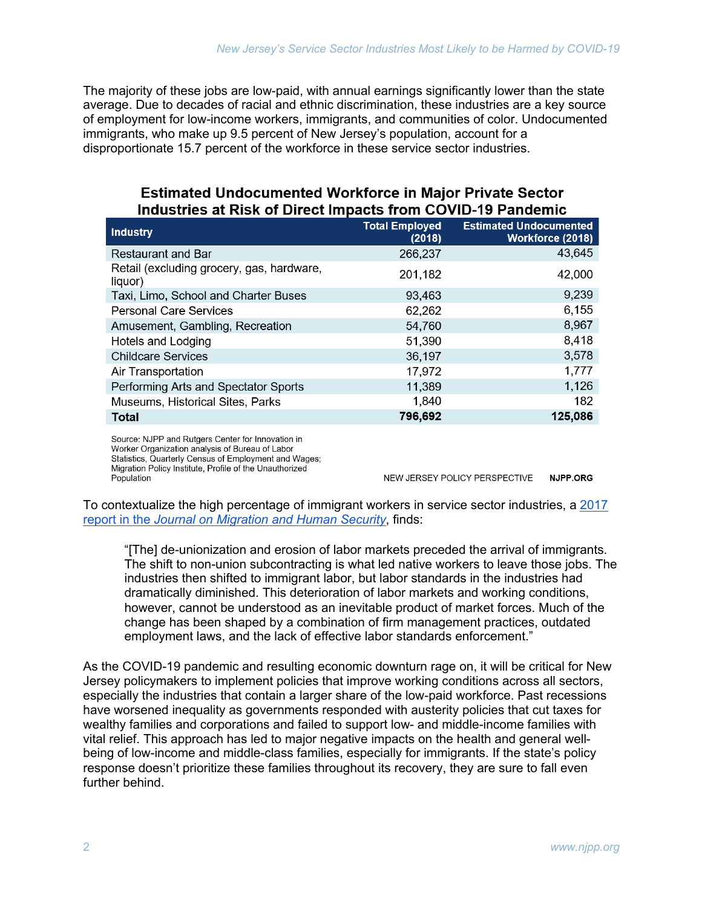The majority of these jobs are low-paid, with annual earnings significantly lower than the state average. Due to decades of racial and ethnic discrimination, these industries are a key source of employment for low-income workers, immigrants, and communities of color. Undocumented immigrants, who make up 9.5 percent of New Jersey's population, account for a disproportionate 15.7 percent of the workforce in these service sector industries.

## **Estimated Undocumented Workforce in Major Private Sector** Industries at Risk of Direct Impacts from COVID-19 Pandemic

| <b>Industry</b>                                      | <b>Total Employed</b><br>(2018) | <b>Estimated Undocumented</b><br><b>Workforce (2018)</b> |
|------------------------------------------------------|---------------------------------|----------------------------------------------------------|
| <b>Restaurant and Bar</b>                            | 266,237                         | 43,645                                                   |
| Retail (excluding grocery, gas, hardware,<br>liquor) | 201,182                         | 42,000                                                   |
| Taxi, Limo, School and Charter Buses                 | 93,463                          | 9,239                                                    |
| <b>Personal Care Services</b>                        | 62,262                          | 6,155                                                    |
| Amusement, Gambling, Recreation                      | 54,760                          | 8,967                                                    |
| Hotels and Lodging                                   | 51,390                          | 8,418                                                    |
| <b>Childcare Services</b>                            | 36,197                          | 3,578                                                    |
| Air Transportation                                   | 17,972                          | 1,777                                                    |
| Performing Arts and Spectator Sports                 | 11,389                          | 1,126                                                    |
| Museums, Historical Sites, Parks                     | 1,840                           | 182                                                      |
| Total                                                | 796,692                         | 125,086                                                  |
|                                                      |                                 |                                                          |

Source: NJPP and Rutgers Center for Innovation in Worker Organization analysis of Bureau of Labor Statistics, Quarterly Census of Employment and Wages; Migration Policy Institute, Profile of the Unauthorized Population

NEW JERSEY POLICY PERSPECTIVE NJPP.ORG

To contextualize the high percentage of immigrant workers in service sector industries, a 2017 report in the *Journal on Migration and Human Security*, finds:

"[The] de-unionization and erosion of labor markets preceded the arrival of immigrants. The shift to non-union subcontracting is what led native workers to leave those jobs. The industries then shifted to immigrant labor, but labor standards in the industries had dramatically diminished. This deterioration of labor markets and working conditions, however, cannot be understood as an inevitable product of market forces. Much of the change has been shaped by a combination of firm management practices, outdated employment laws, and the lack of effective labor standards enforcement."

As the COVID-19 pandemic and resulting economic downturn rage on, it will be critical for New Jersey policymakers to implement policies that improve working conditions across all sectors, especially the industries that contain a larger share of the low-paid workforce. Past recessions have worsened inequality as governments responded with austerity policies that cut taxes for wealthy families and corporations and failed to support low- and middle-income families with vital relief. This approach has led to major negative impacts on the health and general wellbeing of low-income and middle-class families, especially for immigrants. If the state's policy response doesn't prioritize these families throughout its recovery, they are sure to fall even further behind.